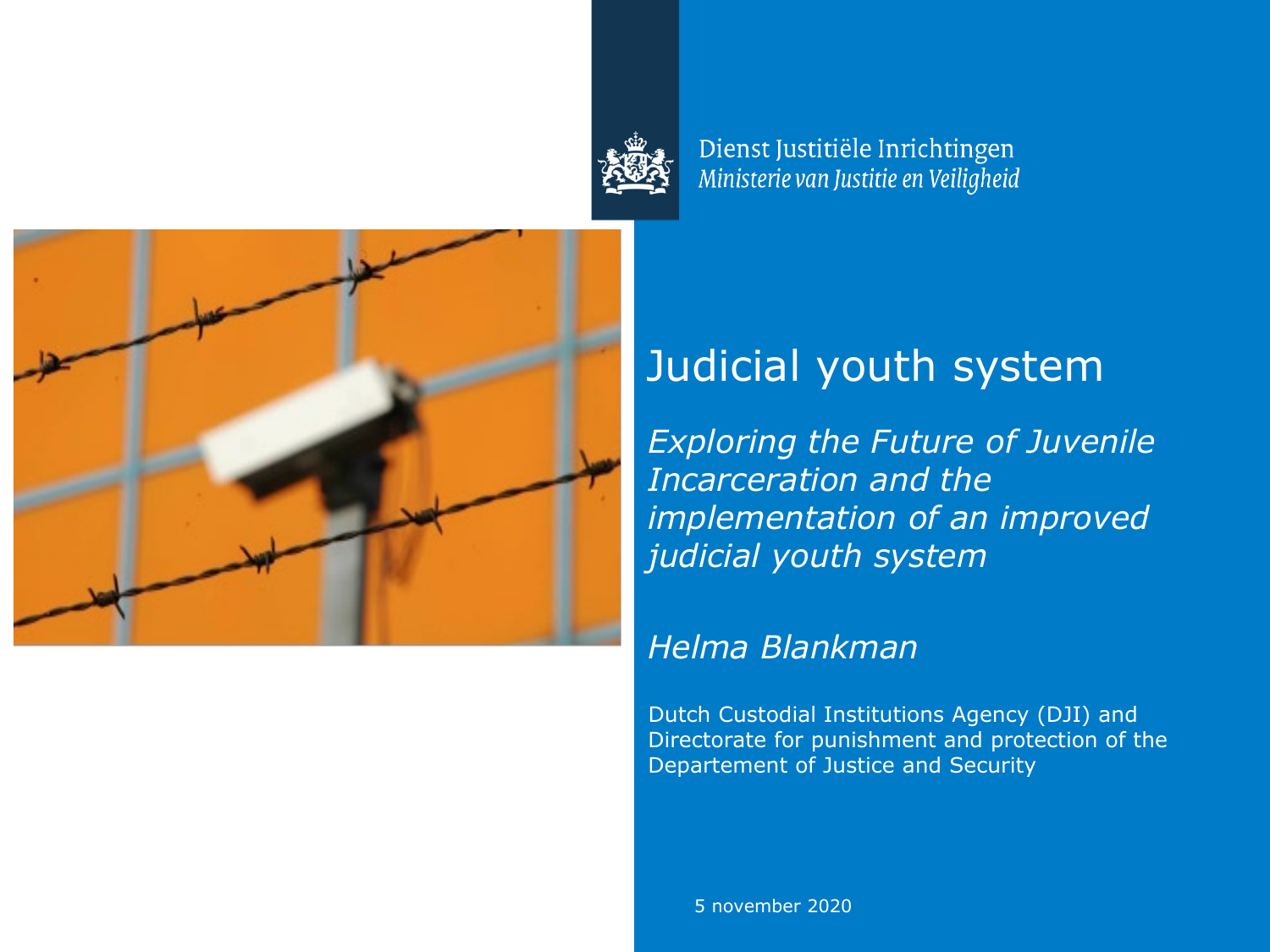

Dienst Justitiële Inrichtingen Ministerie van Justitie en Veiligheid



### Judicial youth system

*Exploring the Future of Juvenile Incarceration and the implementation of an improved judicial youth system*

### *Helma Blankman*

Dutch Custodial Institutions Agency (DJI) and Directorate for punishment and protection of the Departement of Justice and Security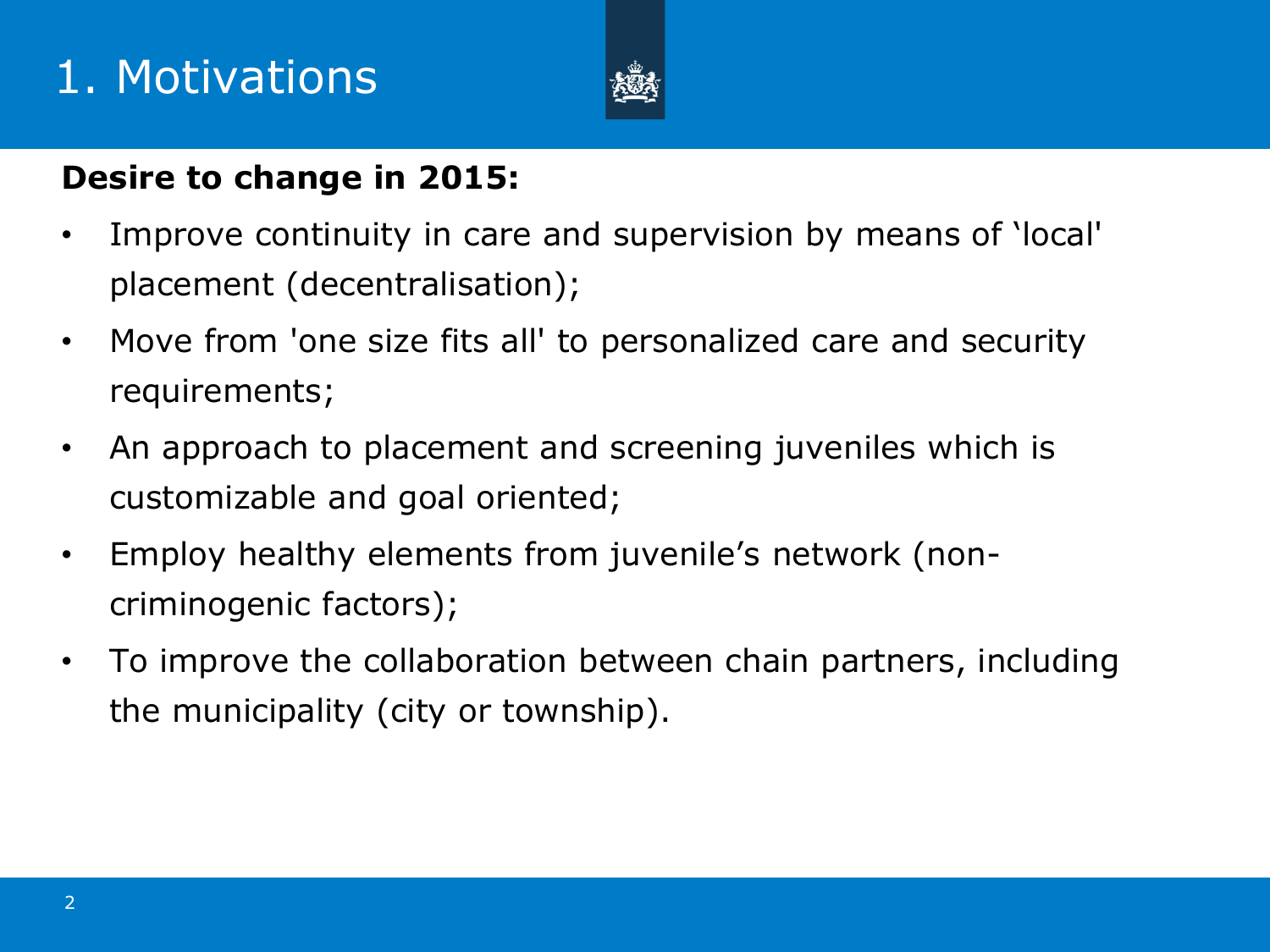## 1. Motivations



### **Desire to change in 2015:**

- Improve continuity in care and supervision by means of 'local' placement (decentralisation);
- Move from 'one size fits all' to personalized care and security requirements;
- An approach to placement and screening juveniles which is customizable and goal oriented;
- Employ healthy elements from juvenile's network (noncriminogenic factors);
- To improve the collaboration between chain partners, including the municipality (city or township).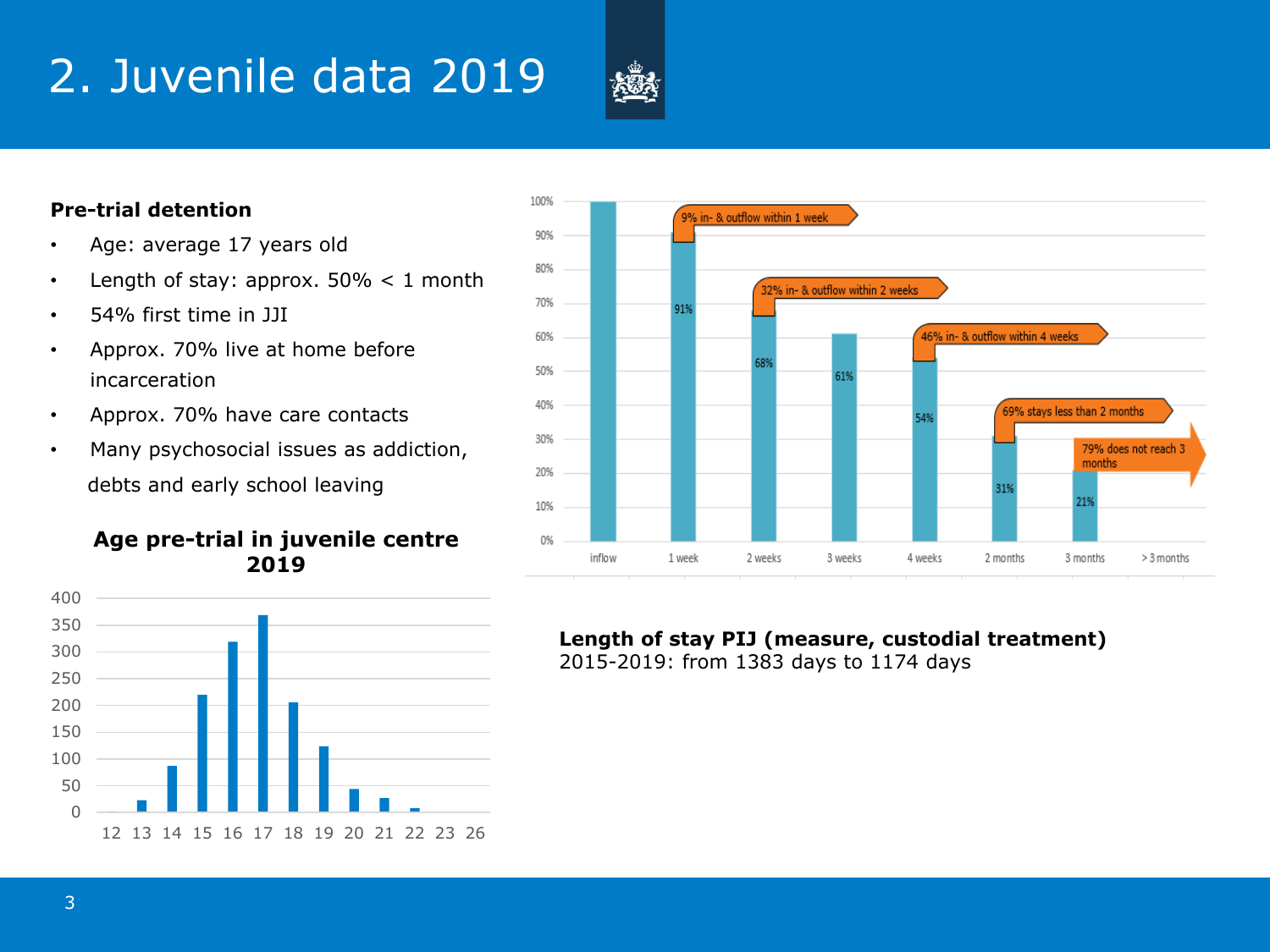# 2. Juvenile data 2019



### **Pre-trial detention**

- Age: average 17 years old
- Length of stay: approx.  $50\% < 1$  month
- 54% first time in JJI
- Approx. 70% live at home before incarceration
- Approx. 70% have care contacts
- Many psychosocial issues as addiction, debts and early school leaving

### **Age pre-trial in juvenile centre 2019**





**Length of stay PIJ (measure, custodial treatment)** 2015-2019: from 1383 days to 1174 days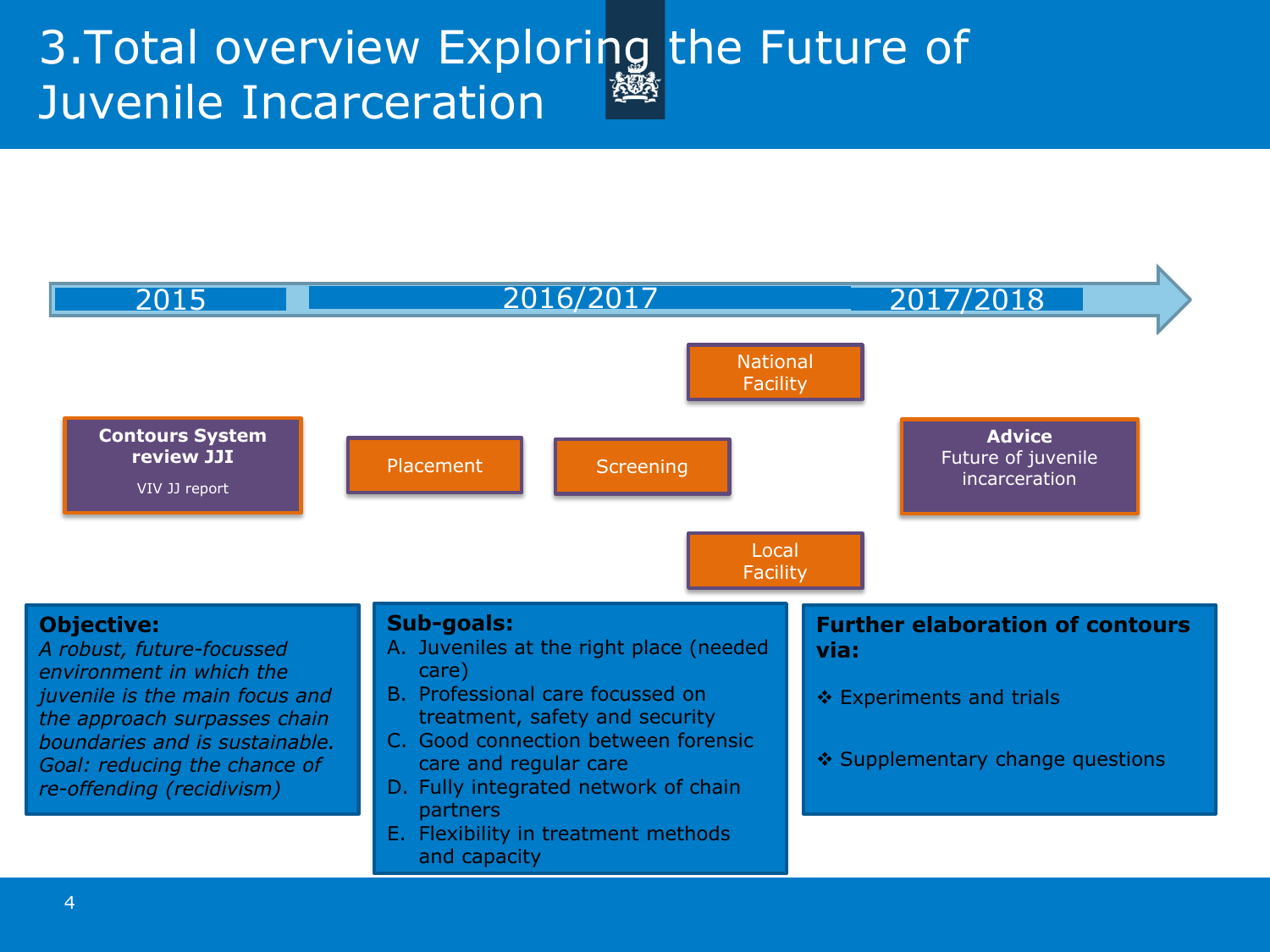### 3. Total overview Exploring the Future of Juvenile Incarceration

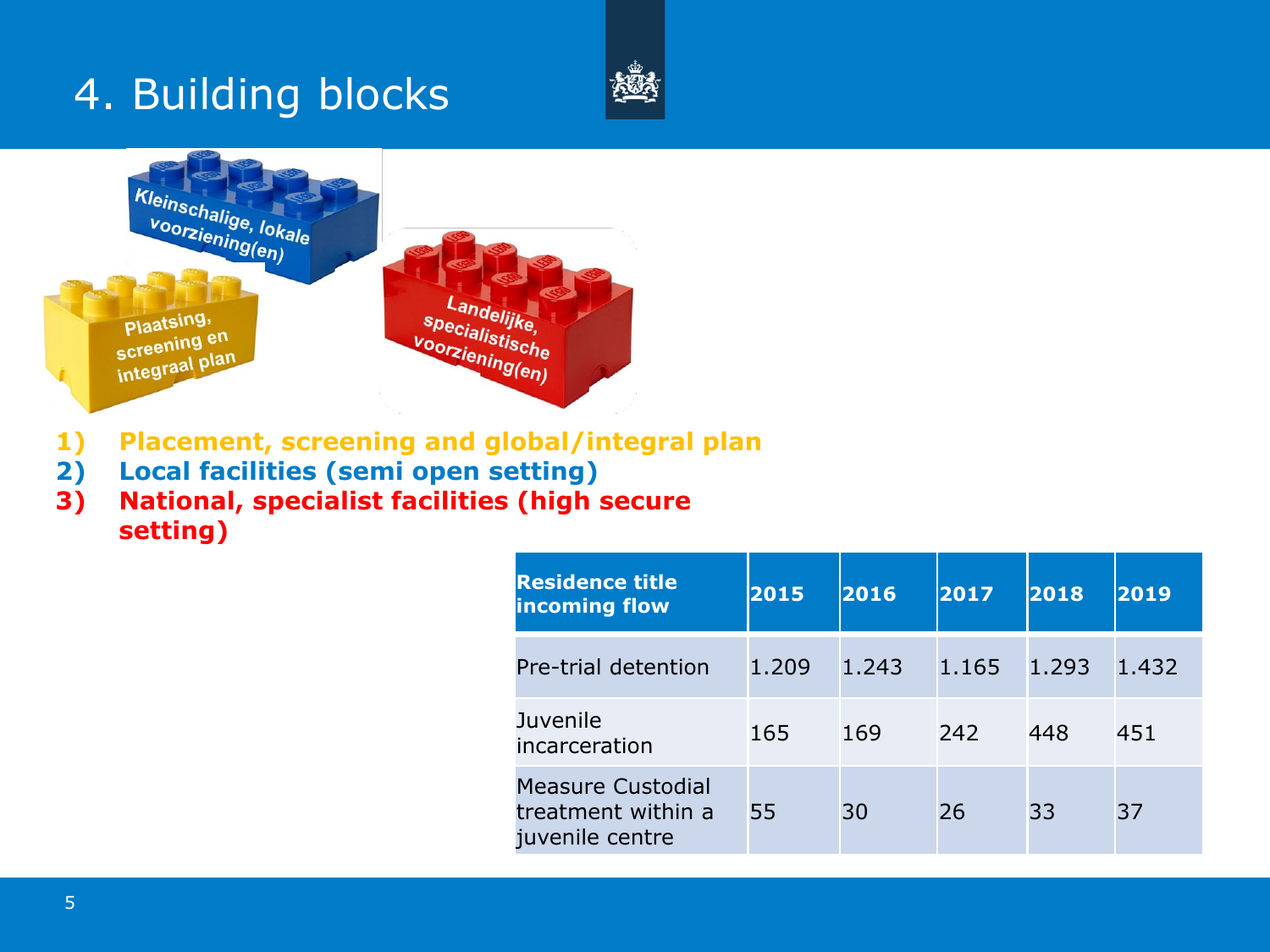### 4. Building blocks



- **1) Placement, screening and global/integral plan**
- **2) Local facilities (semi open setting)**
- **3) National, specialist facilities (high secure setting)**

| <b>Residence title</b><br><b>incoming flow</b>             | 2015  | 2016  | 2017  | 2018  | 2019  |
|------------------------------------------------------------|-------|-------|-------|-------|-------|
| Pre-trial detention                                        | 1.209 | 1.243 | 1.165 | 1.293 | 1.432 |
| Juvenile<br>incarceration                                  | 165   | 169   | 242   | 448   | 451   |
| Measure Custodial<br>treatment within a<br>juvenile centre | 55    | 30    | 26    | 33    | 37    |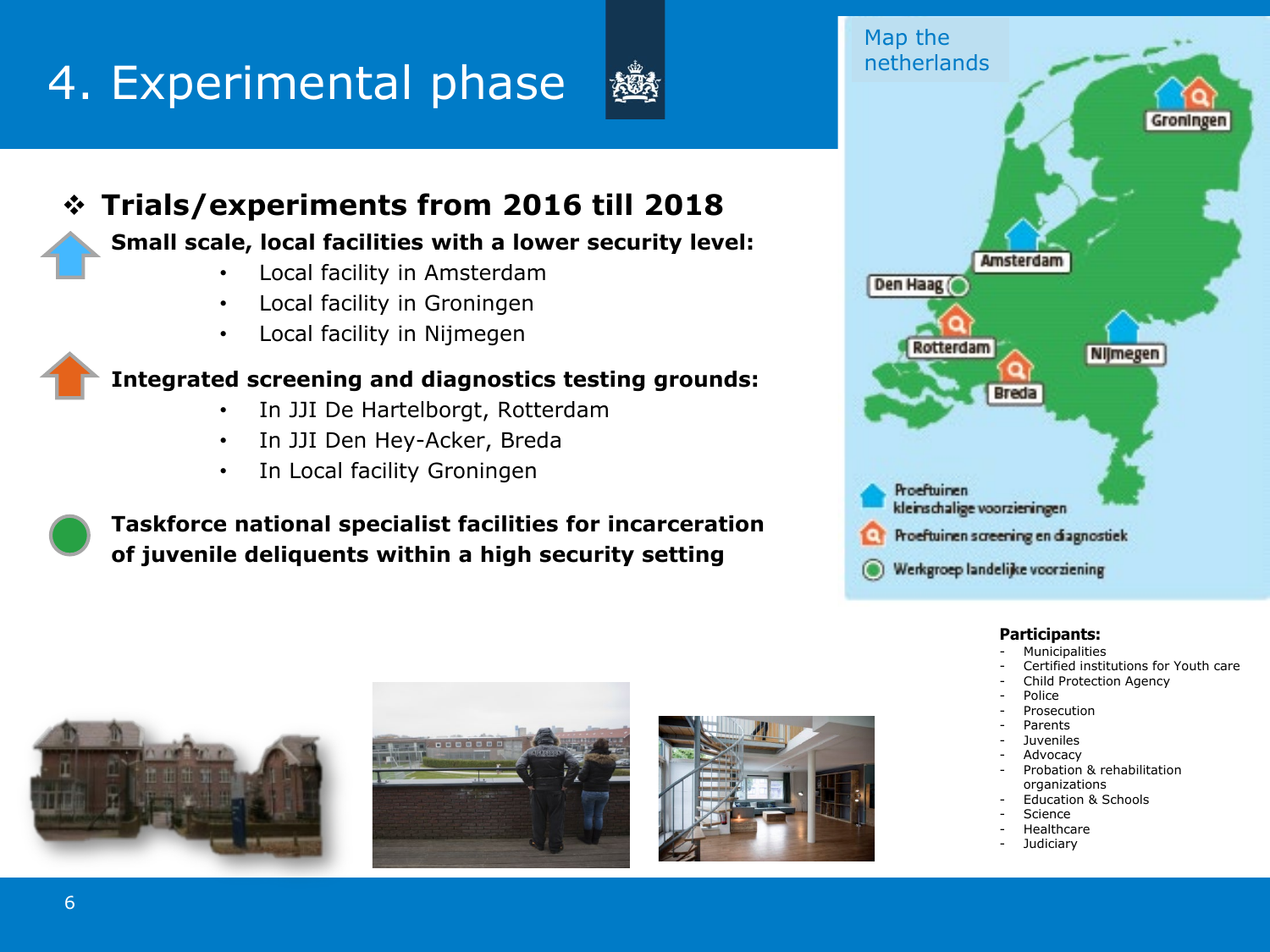# 4. Experimental phase



### **Trials/experiments from 2016 till 2018**

### **Small scale, local facilities with a lower security level:**

- Local facility in Amsterdam
- Local facility in Groningen
- Local facility in Nijmegen

### **Integrated screening and diagnostics testing grounds:**

- In JJI De Hartelborgt, Rotterdam
- In JJI Den Hey-Acker, Breda
- In Local facility Groningen

**Taskforce national specialist facilities for incarceration of juvenile deliquents within a high security setting**



#### **Participants:**

- **Municipalities**
- Certified institutions for Youth care
- Child Protection Agency
- Police
- **Prosecution**
- **Parents**
- Juveniles **Advocacy**
- Probation & rehabilitation organizations
- Education & Schools
- Science
- **Healthcare**
- **Judiciary**





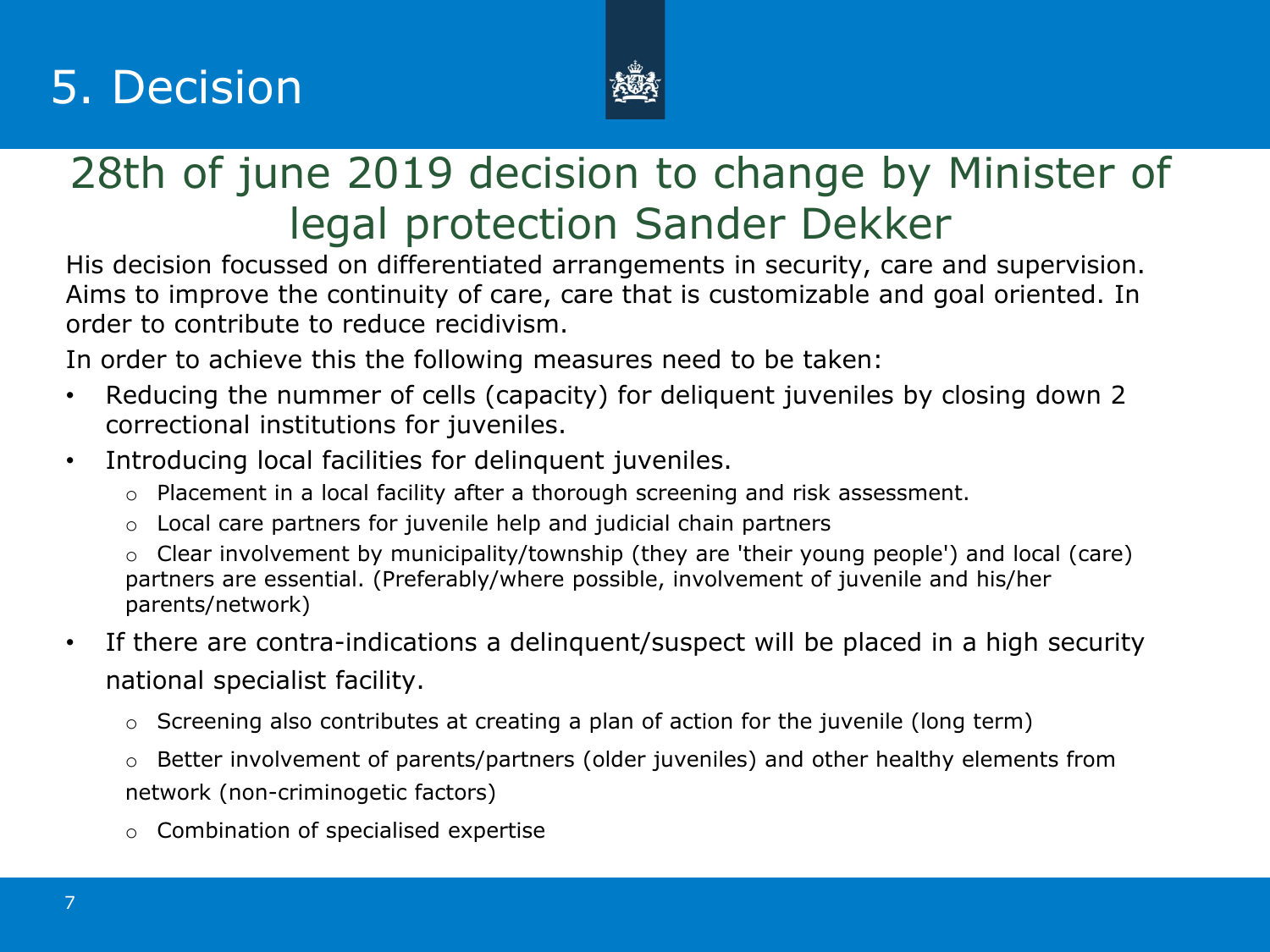## 5. Decision



### 28th of june 2019 decision to change by Minister of legal protection Sander Dekker

His decision focussed on differentiated arrangements in security, care and supervision. Aims to improve the continuity of care, care that is customizable and goal oriented. In order to contribute to reduce recidivism.

In order to achieve this the following measures need to be taken:

- Reducing the nummer of cells (capacity) for deliquent juveniles by closing down 2 correctional institutions for juveniles.
- Introducing local facilities for delinquent juveniles.
	- o Placement in a local facility after a thorough screening and risk assessment.
	- o Local care partners for juvenile help and judicial chain partners
	- o Clear involvement by municipality/township (they are 'their young people') and local (care) partners are essential. (Preferably/where possible, involvement of juvenile and his/her parents/network)
- If there are contra-indications a delinguent/suspect will be placed in a high security national specialist facility.
	- o Screening also contributes at creating a plan of action for the juvenile (long term)
	- o Better involvement of parents/partners (older juveniles) and other healthy elements from network (non-criminogetic factors)
	- o Combination of specialised expertise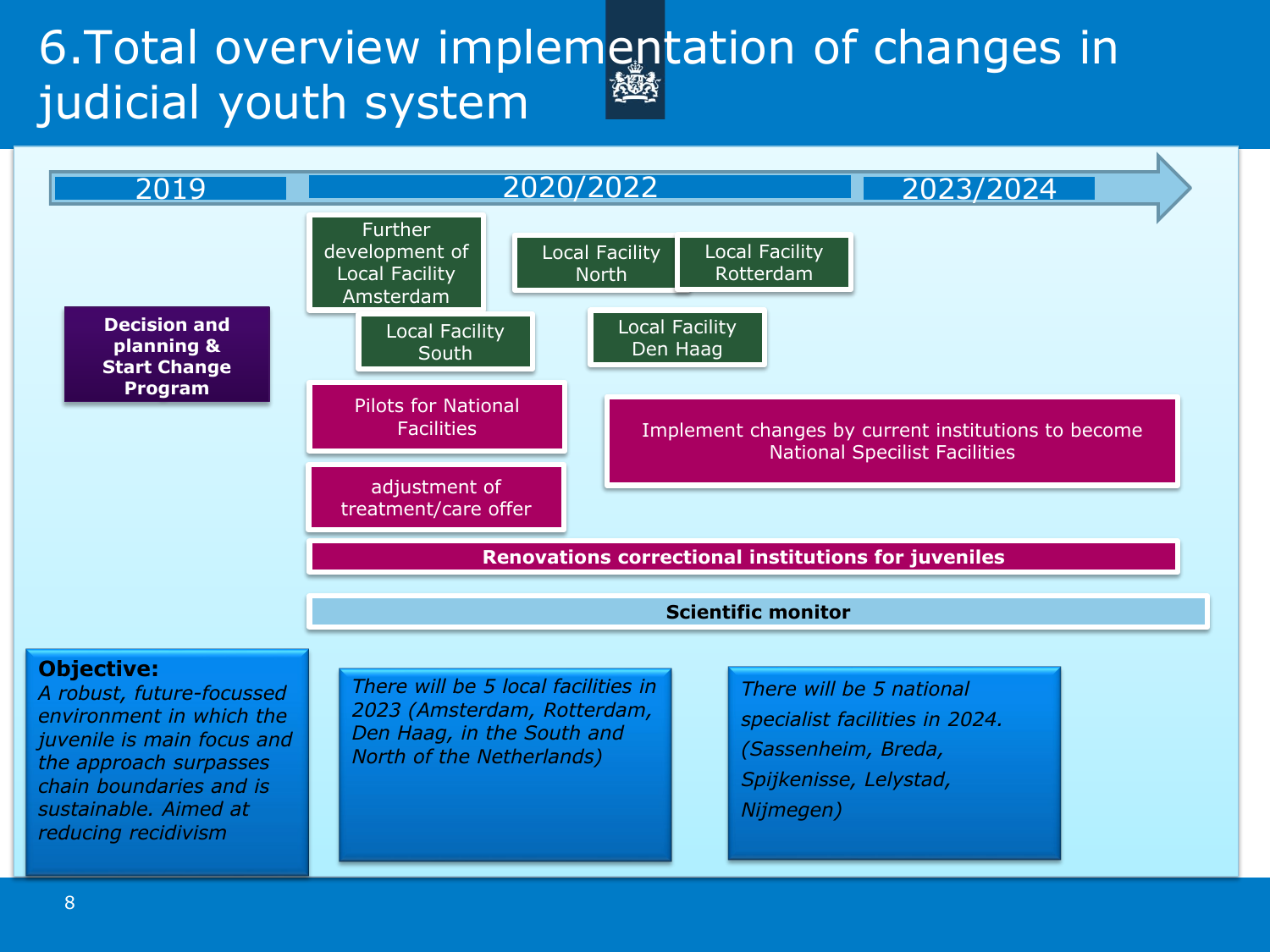### 6.Total overview implementation of changes in judicial youth system <u>YSUA</u>

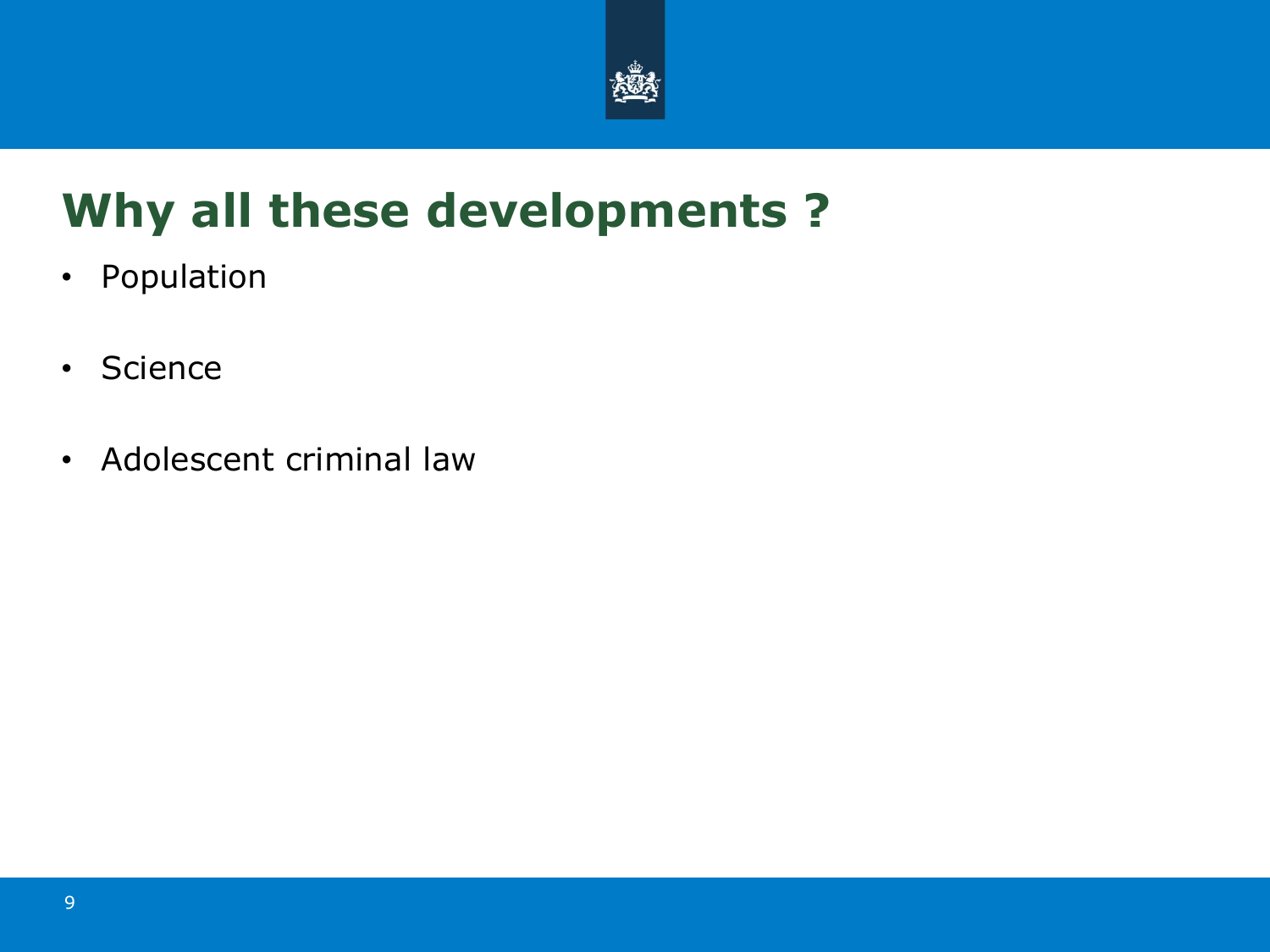

# **Why all these developments ?**

- Population
- Science
- Adolescent criminal law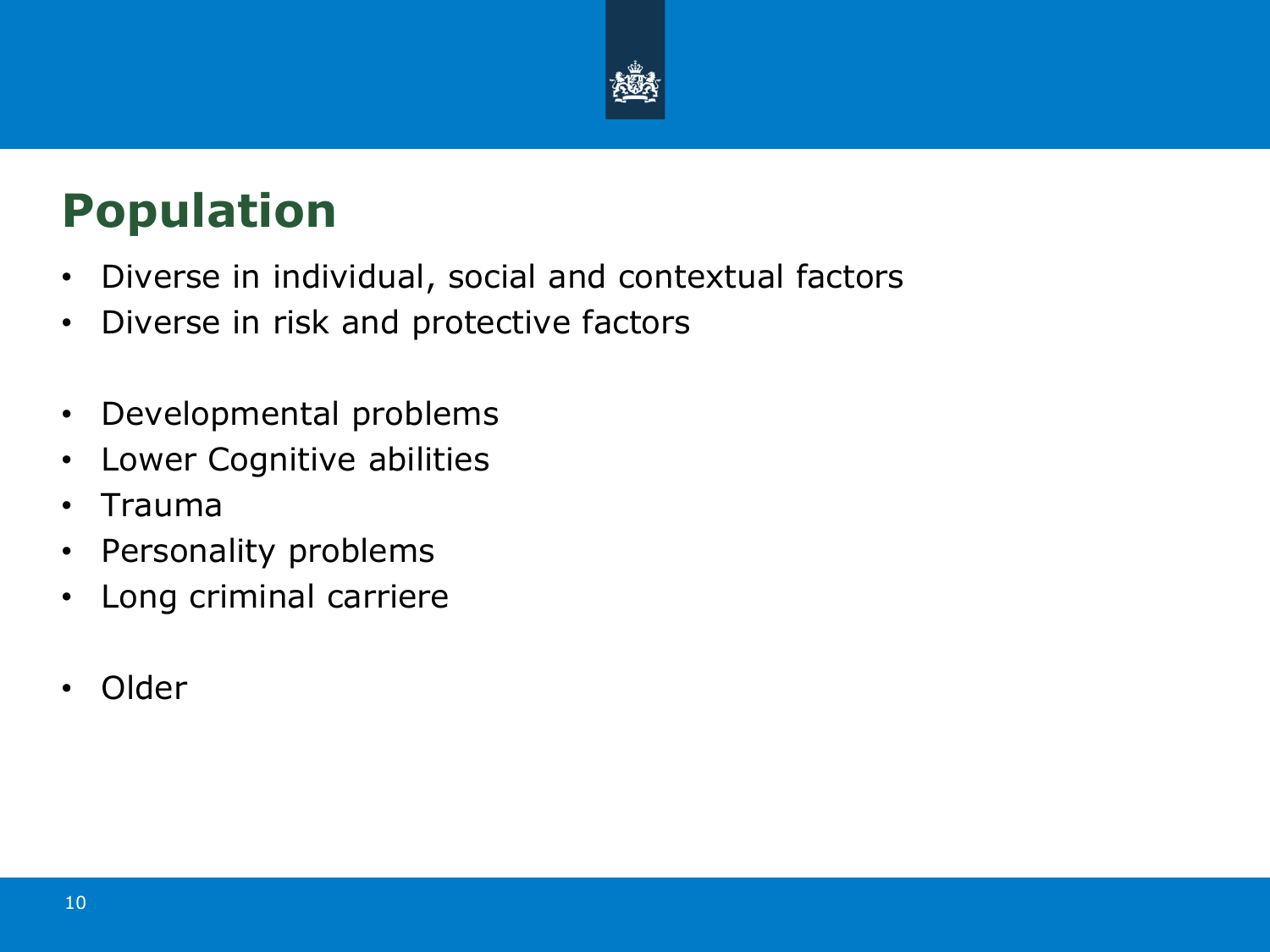

## **Population**

- Diverse in individual, social and contextual factors
- Diverse in risk and protective factors
- Developmental problems
- Lower Cognitive abilities
- Trauma
- Personality problems
- Long criminal carriere
- Older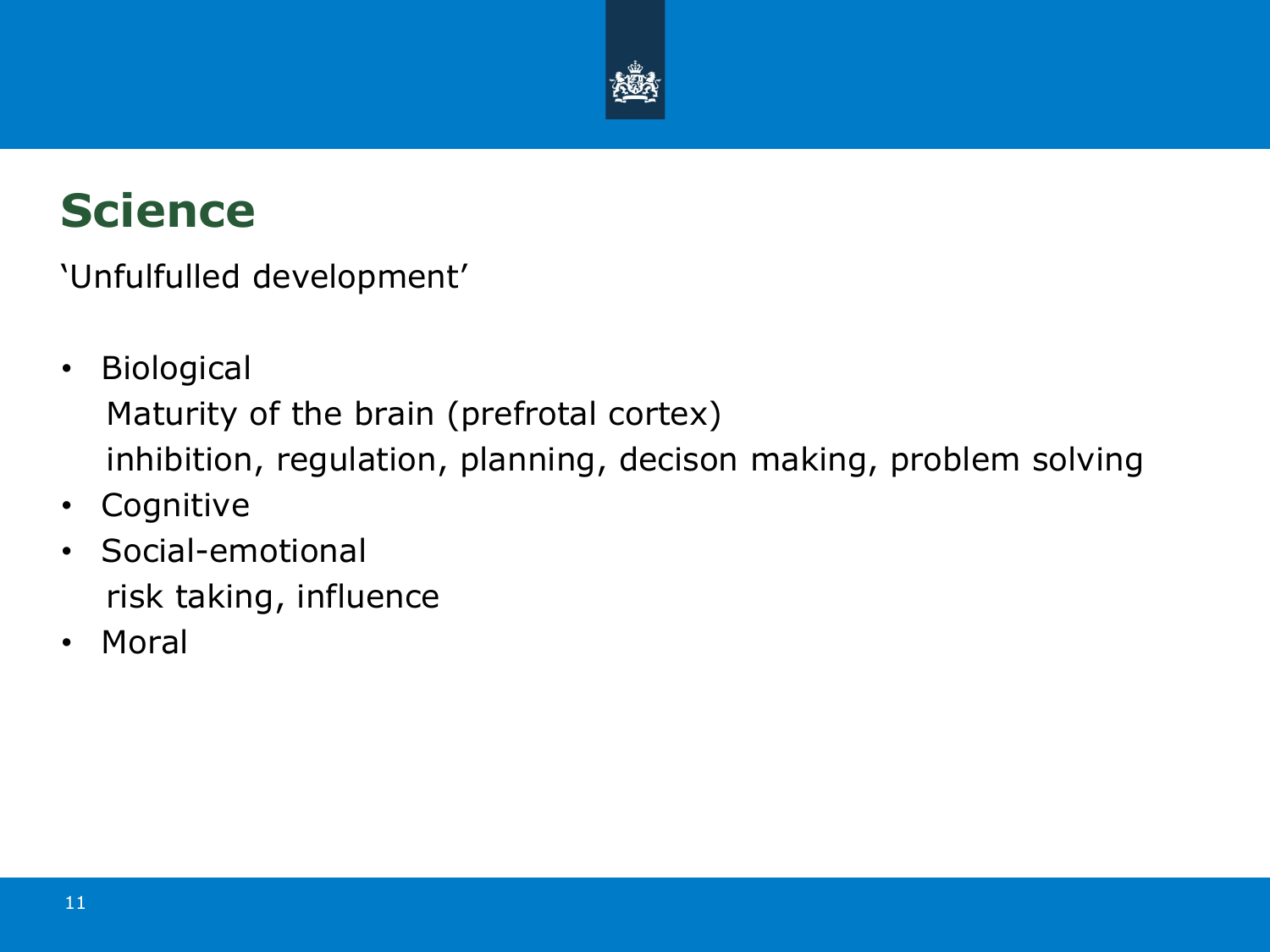

## **Science**

'Unfulfulled development'

- Biological Maturity of the brain (prefrotal cortex) inhibition, regulation, planning, decison making, problem solving
- Cognitive
- Social-emotional risk taking, influence
- Moral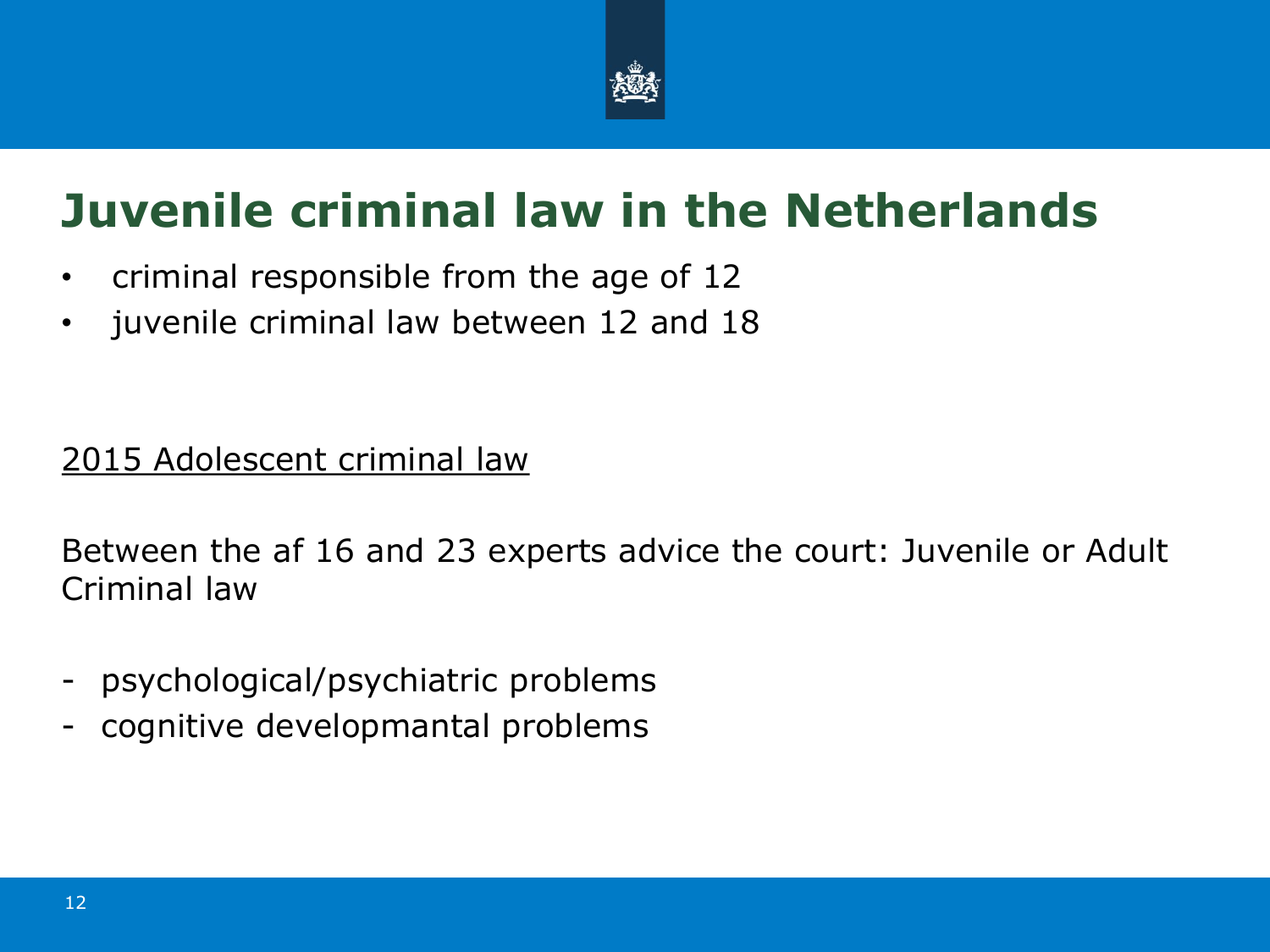

## **Juvenile criminal law in the Netherlands**

- criminal responsible from the age of 12
- juvenile criminal law between 12 and 18

### 2015 Adolescent criminal law

Between the af 16 and 23 experts advice the court: Juvenile or Adult Criminal law

- psychological/psychiatric problems
- cognitive developmantal problems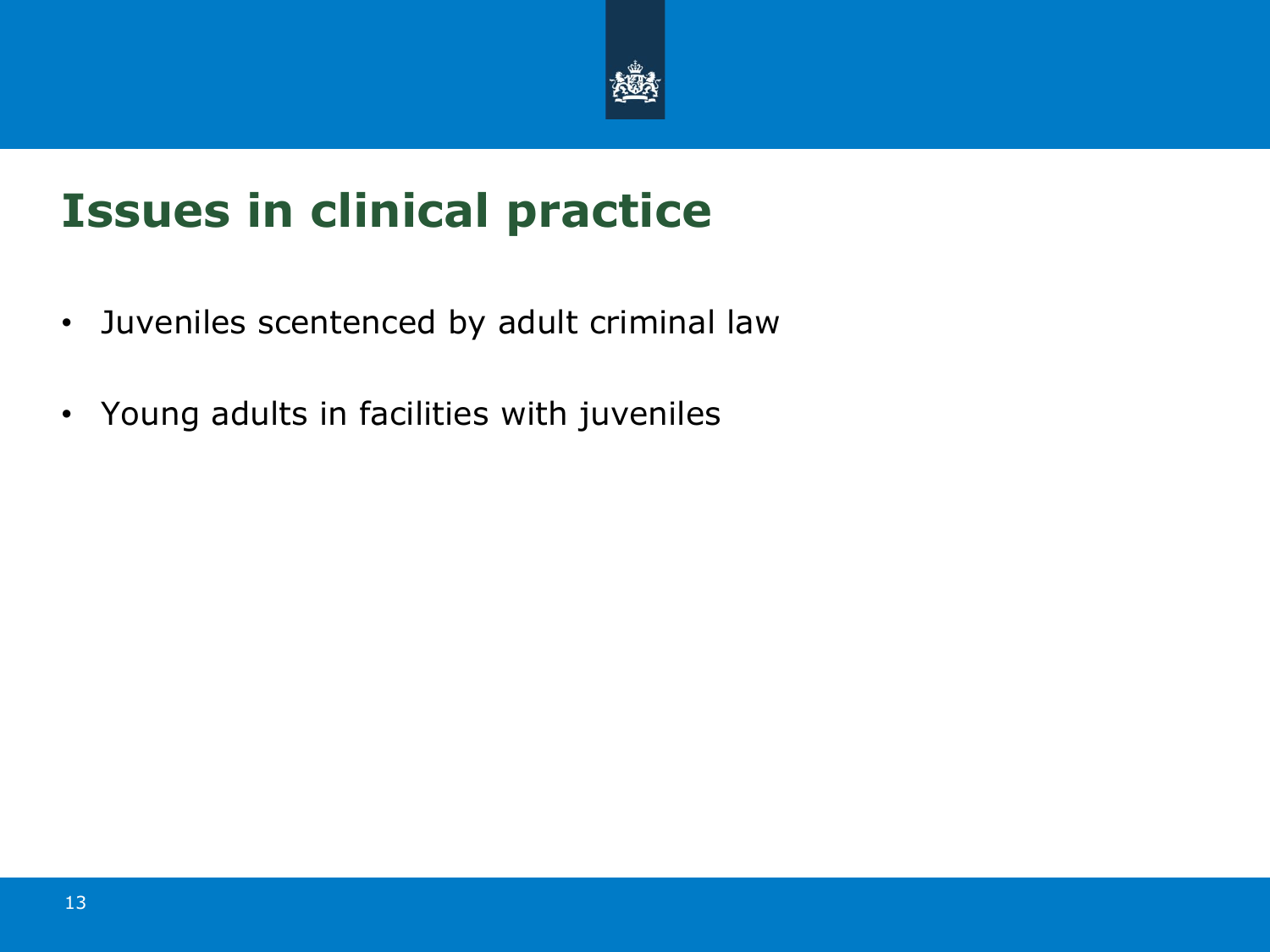

# **Issues in clinical practice**

- Juveniles scentenced by adult criminal law
- Young adults in facilities with juveniles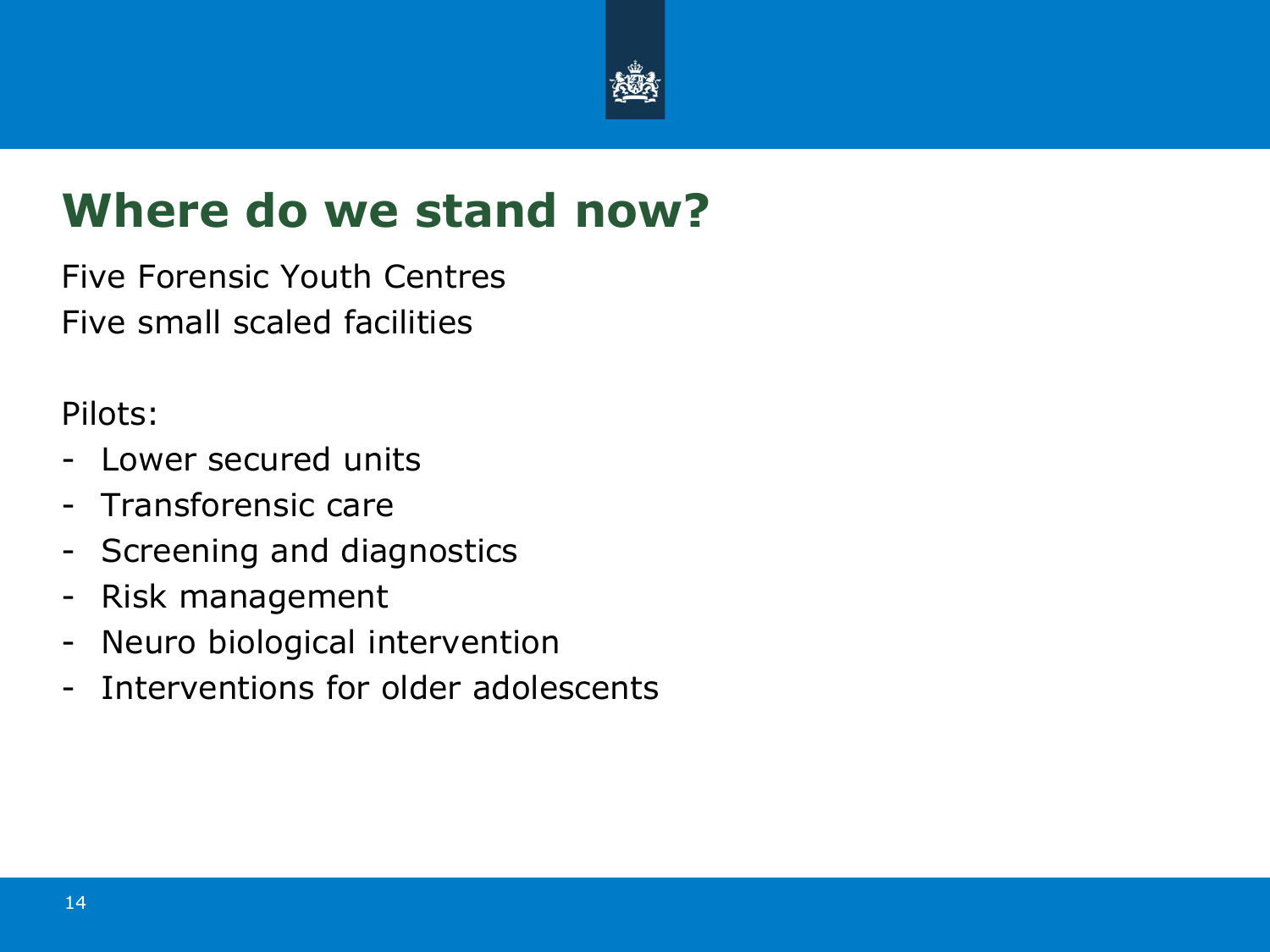

### **Where do we stand now?**

Five Forensic Youth Centres Five small scaled facilities

Pilots:

- Lower secured units
- Transforensic care
- Screening and diagnostics
- Risk management
- Neuro biological intervention
- Interventions for older adolescents